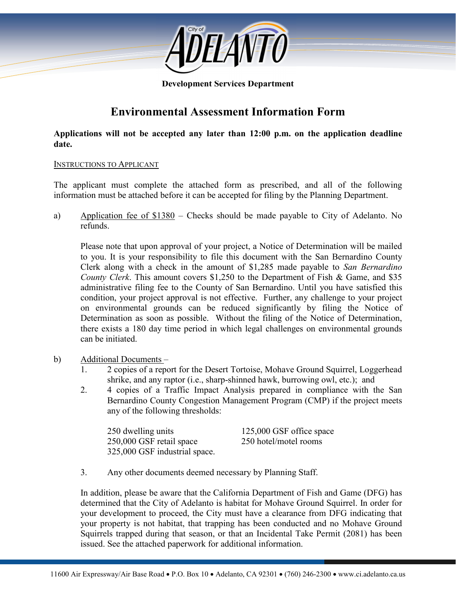

#### **Development Services Department**

# **Environmental Assessment Information Form**

**Applications will not be accepted any later than 12:00 p.m. on the application deadline date.**

#### INSTRUCTIONS TO APPLICANT

The applicant must complete the attached form as prescribed, and all of the following information must be attached before it can be accepted for filing by the Planning Department.

a) Application fee of \$1380 – Checks should be made payable to City of Adelanto. No refunds.

Please note that upon approval of your project, a Notice of Determination will be mailed to you. It is your responsibility to file this document with the San Bernardino County Clerk along with a check in the amount of \$1,285 made payable to *San Bernardino County Clerk*. This amount covers \$1,250 to the Department of Fish & Game, and \$35 administrative filing fee to the County of San Bernardino. Until you have satisfied this condition, your project approval is not effective. Further, any challenge to your project on environmental grounds can be reduced significantly by filing the Notice of Determination as soon as possible. Without the filing of the Notice of Determination, there exists a 180 day time period in which legal challenges on environmental grounds can be initiated.

#### b) Additional Documents –

- 1. 2 copies of a report for the Desert Tortoise, Mohave Ground Squirrel, Loggerhead shrike, and any raptor (i.e., sharp-shinned hawk, burrowing owl, etc.); and
- 2. 4 copies of a Traffic Impact Analysis prepared in compliance with the San Bernardino County Congestion Management Program (CMP) if the project meets any of the following thresholds:

| 250 dwelling units            | 125,000 GSF office space |
|-------------------------------|--------------------------|
| 250,000 GSF retail space      | 250 hotel/motel rooms    |
| 325,000 GSF industrial space. |                          |

3. Any other documents deemed necessary by Planning Staff.

In addition, please be aware that the California Department of Fish and Game (DFG) has determined that the City of Adelanto is habitat for Mohave Ground Squirrel. In order for your development to proceed, the City must have a clearance from DFG indicating that your property is not habitat, that trapping has been conducted and no Mohave Ground Squirrels trapped during that season, or that an Incidental Take Permit (2081) has been issued. See the attached paperwork for additional information.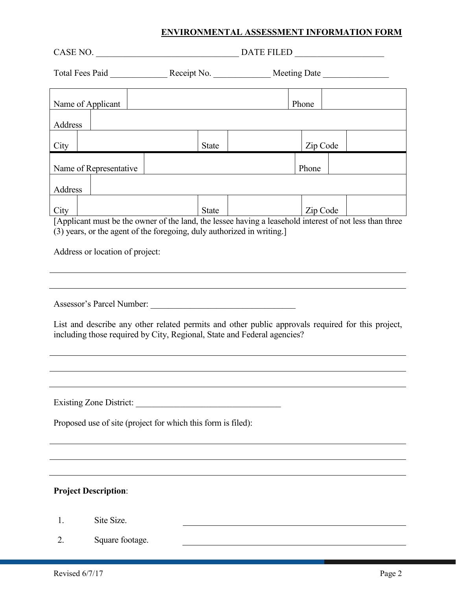| Name of Applicant<br>Address                                                                                                                                                 |                 |                                                              |       |                                                                                                                                                                                   | Phone    |  |  |
|------------------------------------------------------------------------------------------------------------------------------------------------------------------------------|-----------------|--------------------------------------------------------------|-------|-----------------------------------------------------------------------------------------------------------------------------------------------------------------------------------|----------|--|--|
| City                                                                                                                                                                         |                 |                                                              | State |                                                                                                                                                                                   | Zip Code |  |  |
| Name of Representative                                                                                                                                                       |                 |                                                              |       |                                                                                                                                                                                   | Phone    |  |  |
| Address                                                                                                                                                                      |                 |                                                              |       |                                                                                                                                                                                   |          |  |  |
| City                                                                                                                                                                         |                 |                                                              | State |                                                                                                                                                                                   | Zip Code |  |  |
| Address or location of project:                                                                                                                                              |                 |                                                              |       | [Applicant must be the owner of the land, the lessee having a leasehold interest of not less than three<br>(3) years, or the agent of the foregoing, duly authorized in writing.] |          |  |  |
|                                                                                                                                                                              |                 |                                                              |       |                                                                                                                                                                                   |          |  |  |
| List and describe any other related permits and other public approvals required for this project,<br>including those required by City, Regional, State and Federal agencies? |                 |                                                              |       |                                                                                                                                                                                   |          |  |  |
|                                                                                                                                                                              |                 |                                                              |       |                                                                                                                                                                                   |          |  |  |
| <b>Existing Zone District:</b>                                                                                                                                               |                 | Proposed use of site (project for which this form is filed): |       |                                                                                                                                                                                   |          |  |  |
|                                                                                                                                                                              |                 |                                                              |       |                                                                                                                                                                                   |          |  |  |
| <b>Project Description:</b>                                                                                                                                                  |                 |                                                              |       |                                                                                                                                                                                   |          |  |  |
| 1.                                                                                                                                                                           | Site Size.      |                                                              |       |                                                                                                                                                                                   |          |  |  |
| 2.                                                                                                                                                                           | Square footage. |                                                              |       |                                                                                                                                                                                   |          |  |  |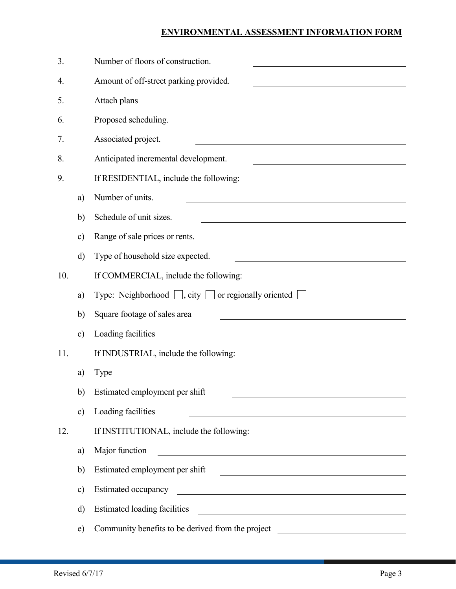| 3.  |               | Number of floors of construction.                                                                                                                       |
|-----|---------------|---------------------------------------------------------------------------------------------------------------------------------------------------------|
| 4.  |               | Amount of off-street parking provided.                                                                                                                  |
| 5.  |               | Attach plans                                                                                                                                            |
| 6.  |               | Proposed scheduling.                                                                                                                                    |
| 7.  |               | Associated project.                                                                                                                                     |
| 8.  |               | Anticipated incremental development.                                                                                                                    |
| 9.  |               | If RESIDENTIAL, include the following:                                                                                                                  |
|     | a)            | Number of units.                                                                                                                                        |
|     | b)            | Schedule of unit sizes.                                                                                                                                 |
|     | $\mathbf{c})$ | Range of sale prices or rents.                                                                                                                          |
|     | $\rm d$       | Type of household size expected.                                                                                                                        |
| 10. |               | If COMMERCIAL, include the following:                                                                                                                   |
|     | a)            | Type: Neighborhood $\Box$ , city $\Box$ or regionally oriented $\Box$                                                                                   |
|     | b)            | Square footage of sales area                                                                                                                            |
|     | $\mathbf{c})$ | Loading facilities                                                                                                                                      |
| 11. |               | If INDUSTRIAL, include the following:                                                                                                                   |
|     | a)            | Type                                                                                                                                                    |
|     | b)            | Estimated employment per shift                                                                                                                          |
|     | $\mathbf{c})$ | Loading facilities<br><u> 1989 - Jan Samuel Barbara, margaret e</u>                                                                                     |
| 12. |               | If INSTITUTIONAL, include the following:                                                                                                                |
|     | a)            | Major function<br><u> 1989 - Johann Stoff, deutscher Stoffen und der Stoffen und der Stoffen und der Stoffen und der Stoffen und der</u>                |
|     | b)            | Estimated employment per shift<br><u> 1989 - Johann Harry Harry Harry Harry Harry Harry Harry Harry Harry Harry Harry Harry Harry Harry Harry Harry</u> |
|     | c)            | Estimated occupancy                                                                                                                                     |
|     | d)            | <b>Estimated loading facilities</b>                                                                                                                     |
|     | e)            | Community benefits to be derived from the project                                                                                                       |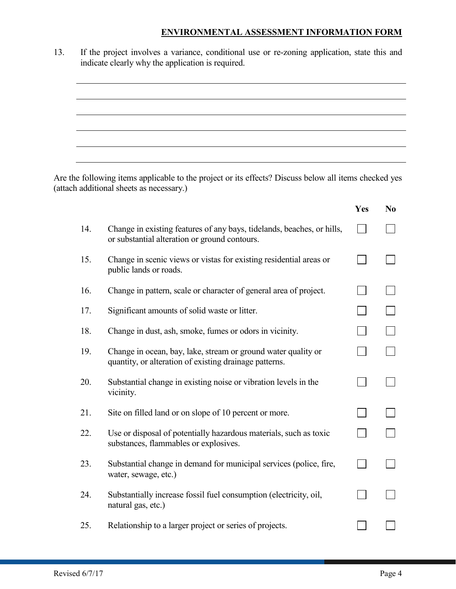13. If the project involves a variance, conditional use or re-zoning application, state this and indicate clearly why the application is required.

Are the following items applicable to the project or its effects? Discuss below all items checked yes (attach additional sheets as necessary.)

|     |                                                                                                                         | Yes | N <sub>0</sub> |
|-----|-------------------------------------------------------------------------------------------------------------------------|-----|----------------|
| 14. | Change in existing features of any bays, tidelands, beaches, or hills,<br>or substantial alteration or ground contours. |     |                |
| 15. | Change in scenic views or vistas for existing residential areas or<br>public lands or roads.                            |     |                |
| 16. | Change in pattern, scale or character of general area of project.                                                       |     |                |
| 17. | Significant amounts of solid waste or litter.                                                                           |     |                |
| 18. | Change in dust, ash, smoke, fumes or odors in vicinity.                                                                 |     |                |
| 19. | Change in ocean, bay, lake, stream or ground water quality or<br>quantity, or alteration of existing drainage patterns. |     |                |
| 20. | Substantial change in existing noise or vibration levels in the<br>vicinity.                                            |     |                |
| 21. | Site on filled land or on slope of 10 percent or more.                                                                  |     |                |
| 22. | Use or disposal of potentially hazardous materials, such as toxic<br>substances, flammables or explosives.              |     |                |
| 23. | Substantial change in demand for municipal services (police, fire,<br>water, sewage, etc.)                              |     |                |
| 24. | Substantially increase fossil fuel consumption (electricity, oil,<br>natural gas, etc.)                                 |     |                |
| 25. | Relationship to a larger project or series of projects.                                                                 |     |                |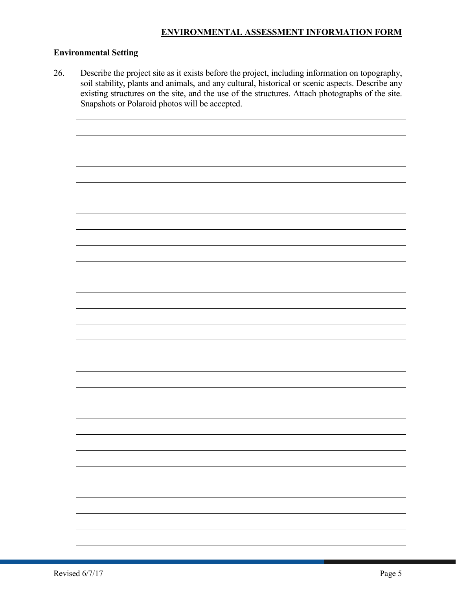# **Environmental Setting**

26. Describe the project site as it exists before the project, including information on topography, soil stability, plants and animals, and any cultural, historical or scenic aspects. Describe any existing structures on the site, and the use of the structures. Attach photographs of the site. Snapshots or Polaroid photos will be accepted.